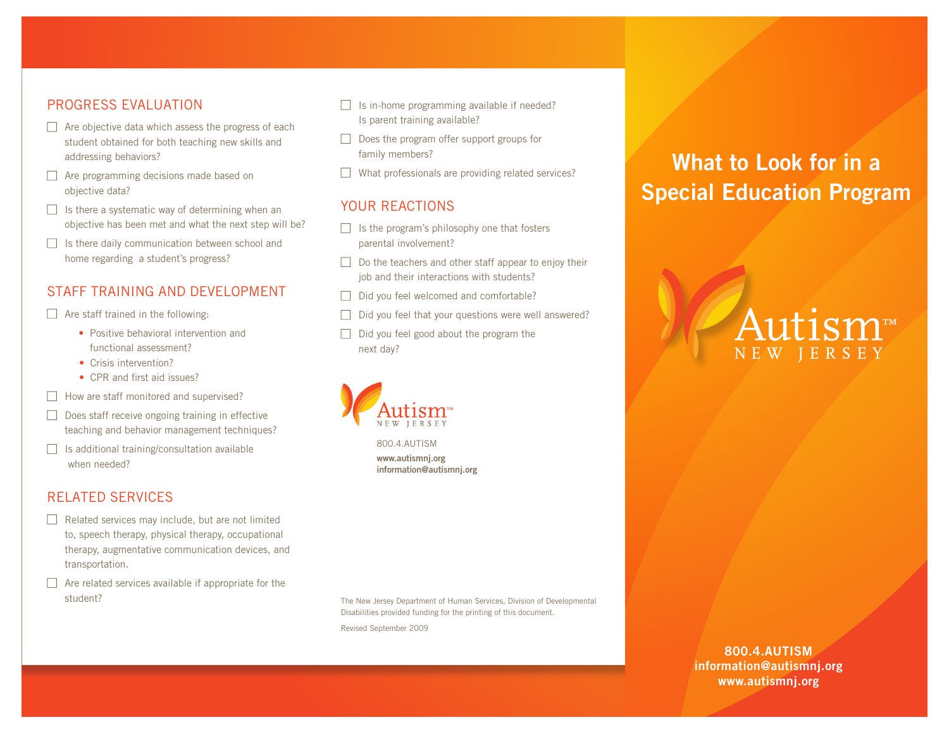# PROGRESS EVALUATION

- $\Box$  Are objective data which assess the progress of each student obtained for both teaching new skills and addressing behaviors?
- $\Box$  Are programming decisions made based on objective data?
- $\Box$  Is there a systematic way of determining when an objective has been met and what the next step will be?
- $\Box$  Is there daily communication between school and home regarding a student's progress?

# STAFF TRAINING AND DEVELOPMENT

 $\Box$  Are staff trained in the following:

- Positive behavioral intervention and functional assessment?
- Crisis intervention?
- CPR and first aid issues?
- $\Box$  How are staff monitored and supervised?
- $\Box$  Does staff receive ongoing training in effective teaching and behavior management techniques?
- $\Box$  Is additional training/consultation available when needed?

# RELATED SERVICES

- $\Box$  Related services may include, but are not limited to, speech therapy, physical therapy, occupational therapy, augmentative communication devices, and transportation.
- $\Box$  Are related services available if appropriate for the student?
- $\Box$  Is in-home programming available if needed? Is parent training available?
- $\Box$  Does the program offer support groups for family members?
- $\Box$  What professionals are providing related services?

# YOUR REACTIONS

- $\Box$  Is the program's philosophy one that fosters parental involvement?
- $\Box$  Do the teachers and other staff appear to enjoy their job and their interactions with students?
- $\Box$  Did you feel welcomed and comfortable?
- $\Box$  Did you feel that your questions were well answered?
- $\Box$  Did you feel good about the program the next day?



800.4.AUTISM **www.autismnj.org information@autismnj.org**

The New Jersey Department of Human Services, Division of Developmental Disabilities provided funding for the printing of this document. Revised September 2009

# **What to Look for in a Special Education Program**

# NEW JERSEY

**800.4.AUTISM information@autismnj.org www.autismnj.org**